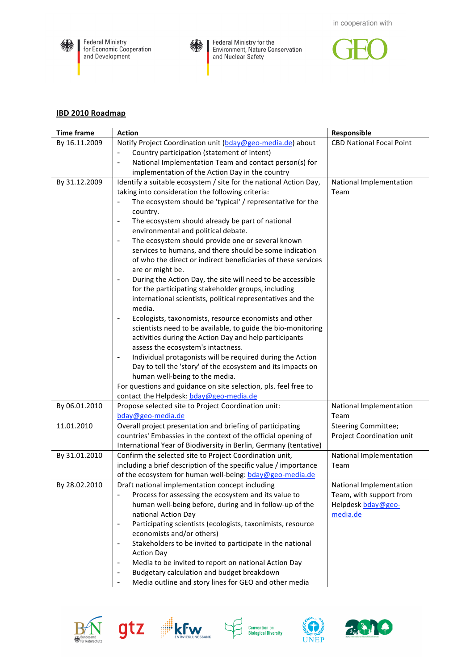



Federal Ministry for the Environment, Nature Conservation<br>and Nuclear Safety



## **IBD
2010
Roadmap**

| <b>Time frame</b> | <b>Action</b>                                                                                      | Responsible                     |
|-------------------|----------------------------------------------------------------------------------------------------|---------------------------------|
| By 16.11.2009     | Notify Project Coordination unit (bday@geo-media.de) about                                         | <b>CBD National Focal Point</b> |
|                   | Country participation (statement of intent)                                                        |                                 |
|                   | National Implementation Team and contact person(s) for                                             |                                 |
|                   | implementation of the Action Day in the country                                                    |                                 |
| By 31.12.2009     | Identify a suitable ecosystem / site for the national Action Day,                                  | National Implementation         |
|                   | taking into consideration the following criteria:                                                  | Team                            |
|                   | The ecosystem should be 'typical' / representative for the<br>$\overline{\phantom{0}}$<br>country. |                                 |
|                   | The ecosystem should already be part of national<br>$\overline{a}$                                 |                                 |
|                   | environmental and political debate.                                                                |                                 |
|                   | The ecosystem should provide one or several known<br>$\overline{\phantom{0}}$                      |                                 |
|                   | services to humans, and there should be some indication                                            |                                 |
|                   | of who the direct or indirect beneficiaries of these services                                      |                                 |
|                   | are or might be.                                                                                   |                                 |
|                   | During the Action Day, the site will need to be accessible                                         |                                 |
|                   | for the participating stakeholder groups, including                                                |                                 |
|                   | international scientists, political representatives and the                                        |                                 |
|                   | media.                                                                                             |                                 |
|                   | Ecologists, taxonomists, resource economists and other<br>$\overline{a}$                           |                                 |
|                   | scientists need to be available, to guide the bio-monitoring                                       |                                 |
|                   | activities during the Action Day and help participants                                             |                                 |
|                   | assess the ecosystem's intactness.                                                                 |                                 |
|                   | Individual protagonists will be required during the Action<br>-                                    |                                 |
|                   | Day to tell the 'story' of the ecosystem and its impacts on                                        |                                 |
|                   | human well-being to the media.                                                                     |                                 |
|                   | For questions and guidance on site selection, pls. feel free to                                    |                                 |
|                   | contact the Helpdesk: bday@geo-media.de                                                            |                                 |
| By 06.01.2010     | Propose selected site to Project Coordination unit:                                                | National Implementation         |
|                   | bday@geo-media.de                                                                                  | Team                            |
| 11.01.2010        | Overall project presentation and briefing of participating                                         | <b>Steering Committee;</b>      |
|                   | countries' Embassies in the context of the official opening of                                     | Project Coordination unit       |
|                   | International Year of Biodiversity in Berlin, Germany (tentative)                                  |                                 |
| By 31.01.2010     | Confirm the selected site to Project Coordination unit,                                            | National Implementation         |
|                   | including a brief description of the specific value / importance                                   | Team                            |
|                   | of the ecosystem for human well-being: bday@geo-media.de                                           |                                 |
| By 28.02.2010     | Draft national implementation concept including                                                    | National Implementation         |
|                   | Process for assessing the ecosystem and its value to                                               | Team, with support from         |
|                   | human well-being before, during and in follow-up of the                                            | Helpdesk bday@geo-              |
|                   | national Action Day                                                                                | media.de                        |
|                   | Participating scientists (ecologists, taxonimists, resource<br>$\overline{\phantom{0}}$            |                                 |
|                   | economists and/or others)                                                                          |                                 |
|                   | Stakeholders to be invited to participate in the national<br>$\overline{\phantom{a}}$              |                                 |
|                   | <b>Action Day</b>                                                                                  |                                 |
|                   | Media to be invited to report on national Action Day<br>$\overline{a}$                             |                                 |
|                   | Budgetary calculation and budget breakdown<br>$\overline{a}$                                       |                                 |
|                   | Media outline and story lines for GEO and other media<br>-                                         |                                 |